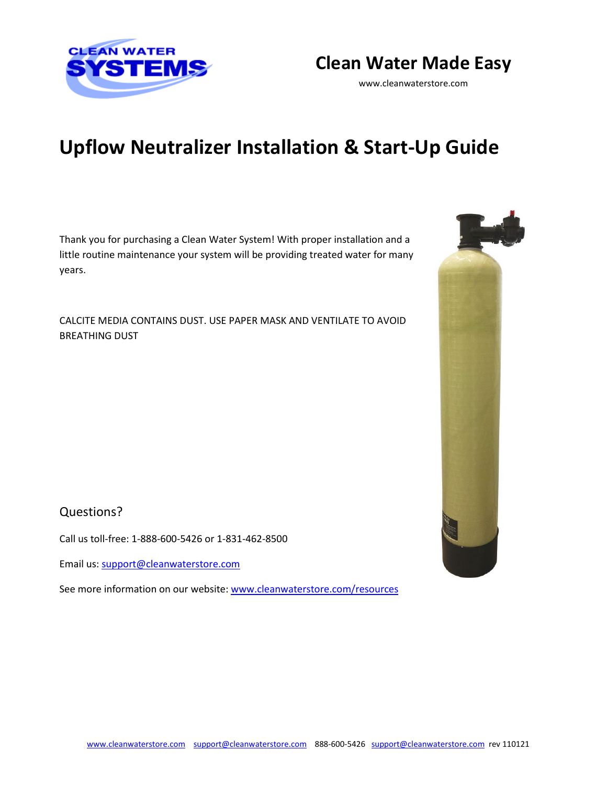



[www.cleanwaterstore.com](http://www.cleanwaterstore.com/)

# **Upflow Neutralizer Installation & Start-Up Guide**

Thank you for purchasing a Clean Water System! With proper installation and a little routine maintenance your system will be providing treated water for many years.

CALCITE MEDIA CONTAINS DUST. USE PAPER MASK AND VENTILATE TO AVOID BREATHING DUST



Call us toll-free: 1-888-600-5426 or 1-831-462-8500

Email us[: support@cleanwaterstore.com](mailto:support@cleanwaterstore.com)

See more information on our website: [www.cleanwaterstore.com/resources](http://www.cleanwaterstore.com/resources)

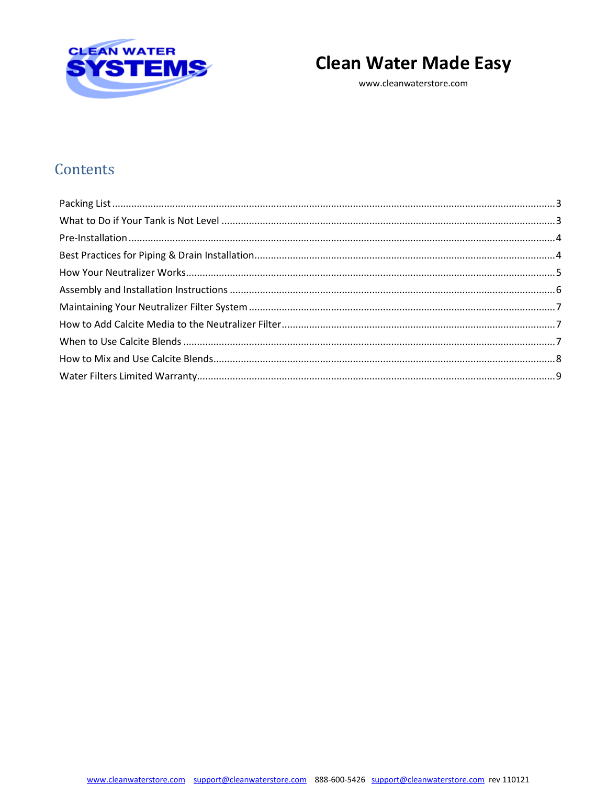

# **Clean Water Made Easy**

www.cleanwaterstore.com

# Contents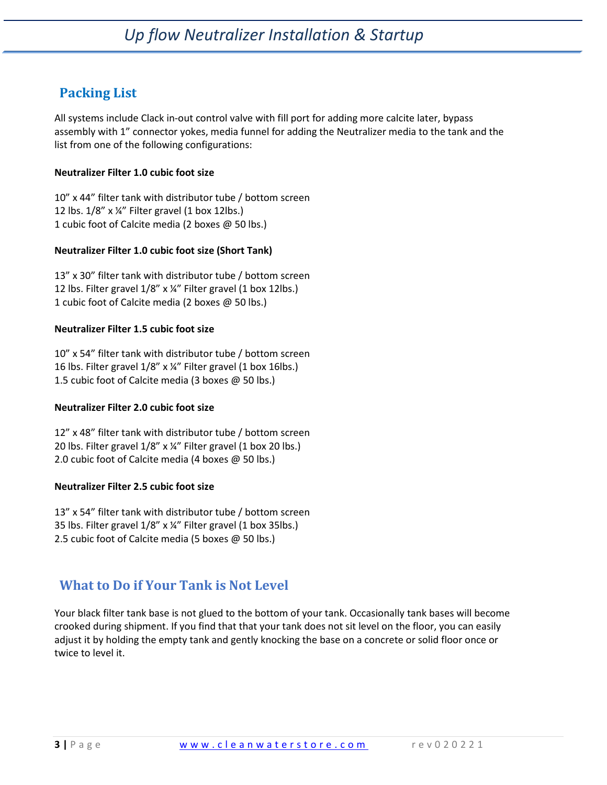# <span id="page-2-0"></span>**Packing List**

All systems include Clack in-out control valve with fill port for adding more calcite later, bypass assembly with 1" connector yokes, media funnel for adding the Neutralizer media to the tank and the list from one of the following configurations:

### **Neutralizer Filter 1.0 cubic foot size**

10" x 44" filter tank with distributor tube / bottom screen 12 lbs. 1/8" x ¼" Filter gravel (1 box 12lbs.) 1 cubic foot of Calcite media (2 boxes @ 50 lbs.)

### **Neutralizer Filter 1.0 cubic foot size (Short Tank)**

13" x 30" filter tank with distributor tube / bottom screen 12 lbs. Filter gravel 1/8" x ¼" Filter gravel (1 box 12lbs.) 1 cubic foot of Calcite media (2 boxes @ 50 lbs.)

### **Neutralizer Filter 1.5 cubic foot size**

10" x 54" filter tank with distributor tube / bottom screen 16 lbs. Filter gravel 1/8" x ¼" Filter gravel (1 box 16lbs.) 1.5 cubic foot of Calcite media (3 boxes @ 50 lbs.)

### **Neutralizer Filter 2.0 cubic foot size**

12" x 48" filter tank with distributor tube / bottom screen 20 lbs. Filter gravel 1/8" x ¼" Filter gravel (1 box 20 lbs.) 2.0 cubic foot of Calcite media (4 boxes @ 50 lbs.)

### **Neutralizer Filter 2.5 cubic foot size**

13" x 54" filter tank with distributor tube / bottom screen 35 lbs. Filter gravel 1/8" x ¼" Filter gravel (1 box 35lbs.) 2.5 cubic foot of Calcite media (5 boxes @ 50 lbs.)

## <span id="page-2-1"></span>**What to Do if Your Tank is Not Level**

Your black filter tank base is not glued to the bottom of your tank. Occasionally tank bases will become crooked during shipment. If you find that that your tank does not sit level on the floor, you can easily adjust it by holding the empty tank and gently knocking the base on a concrete or solid floor once or twice to level it.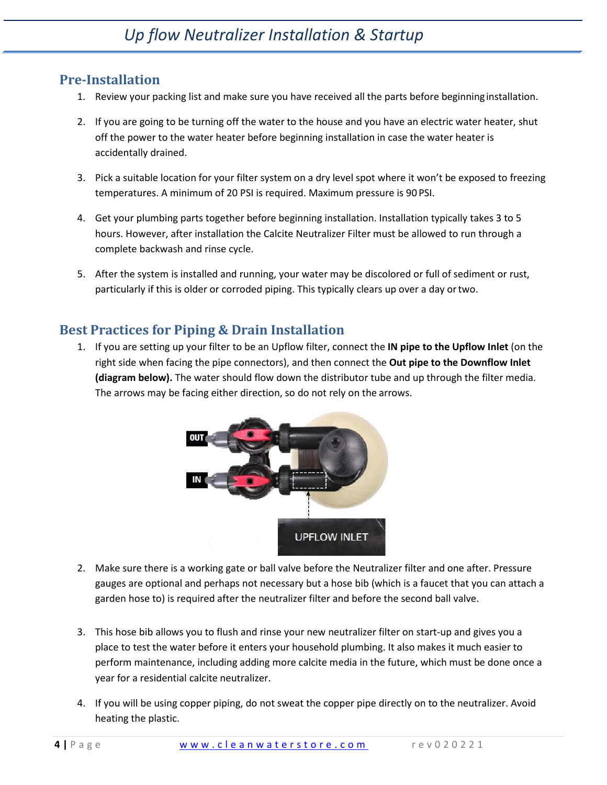### <span id="page-3-0"></span>**Pre-Installation**

- 1. Review your packing list and make sure you have received all the parts before beginninginstallation.
- 2. If you are going to be turning off the water to the house and you have an electric water heater, shut off the power to the water heater before beginning installation in case the water heater is accidentally drained.
- 3. Pick a suitable location for your filter system on a dry level spot where it won't be exposed to freezing temperatures. A minimum of 20 PSI is required. Maximum pressure is 90 PSI.
- 4. Get your plumbing parts together before beginning installation. Installation typically takes 3 to 5 hours. However, after installation the Calcite Neutralizer Filter must be allowed to run through a complete backwash and rinse cycle.
- 5. After the system is installed and running, your water may be discolored or full of sediment or rust, particularly if this is older or corroded piping. This typically clears up over a day ortwo.

## <span id="page-3-1"></span>**Best Practices for Piping & Drain Installation**

1. If you are setting up your filter to be an Upflow filter, connect the **IN pipe to the Upflow Inlet** (on the right side when facing the pipe connectors), and then connect the **Out pipe to the Downflow Inlet (diagram below).** The water should flow down the distributor tube and up through the filter media. The arrows may be facing either direction, so do not rely on the arrows.



- 2. Make sure there is a working gate or ball valve before the Neutralizer filter and one after. Pressure gauges are optional and perhaps not necessary but a hose bib (which is a faucet that you can attach a garden hose to) is required after the neutralizer filter and before the second ball valve.
- 3. This hose bib allows you to flush and rinse your new neutralizer filter on start-up and gives you a place to test the water before it enters your household plumbing. It also makes it much easier to perform maintenance, including adding more calcite media in the future, which must be done once a year for a residential calcite neutralizer.
- 4. If you will be using copper piping, do not sweat the copper pipe directly on to the neutralizer. Avoid heating the plastic.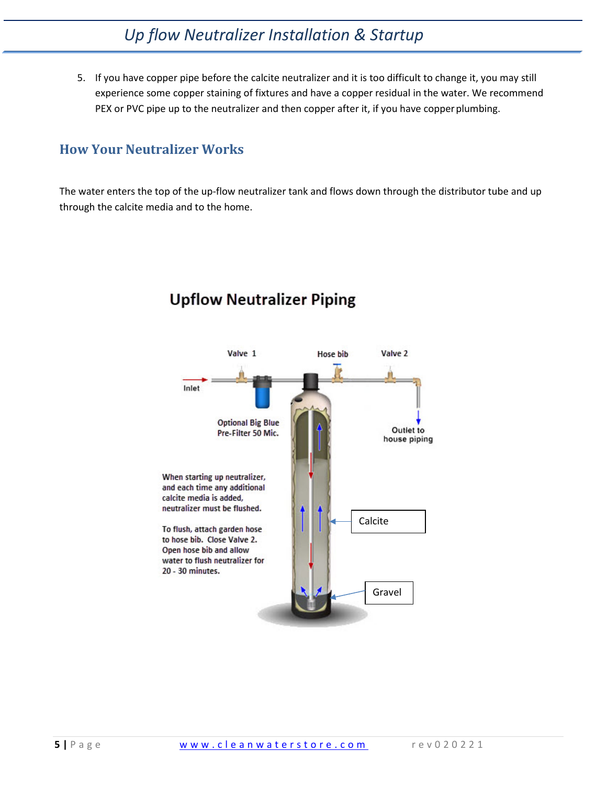# *Up flow Neutralizer Installation & Startup*

5. If you have copper pipe before the calcite neutralizer and it is too difficult to change it, you may still experience some copper staining of fixtures and have a copper residual in the water. We recommend PEX or PVC pipe up to the neutralizer and then copper after it, if you have copper plumbing.

### <span id="page-4-0"></span>**How Your Neutralizer Works**

The water enters the top of the up-flow neutralizer tank and flows down through the distributor tube and up through the calcite media and to the home.



# **Upflow Neutralizer Piping**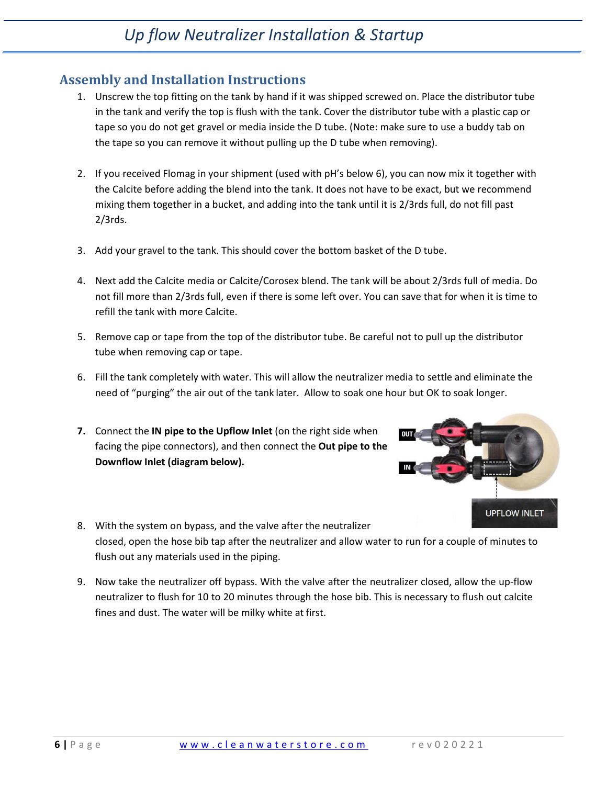### <span id="page-5-0"></span>**Assembly and Installation Instructions**

- 1. Unscrew the top fitting on the tank by hand if it was shipped screwed on. Place the distributor tube in the tank and verify the top is flush with the tank. Cover the distributor tube with a plastic cap or tape so you do not get gravel or media inside the D tube. (Note: make sure to use a buddy tab on the tape so you can remove it without pulling up the D tube when removing).
- 2. If you received Flomag in your shipment (used with pH's below 6), you can now mix it together with the Calcite before adding the blend into the tank. It does not have to be exact, but we recommend mixing them together in a bucket, and adding into the tank until it is 2/3rds full, do not fill past 2/3rds.
- 3. Add your gravel to the tank. This should cover the bottom basket of the D tube.
- 4. Next add the Calcite media or Calcite/Corosex blend. The tank will be about 2/3rds full of media. Do not fill more than 2/3rds full, even if there is some left over. You can save that for when it is time to refill the tank with more Calcite.
- 5. Remove cap or tape from the top of the distributor tube. Be careful not to pull up the distributor tube when removing cap or tape.
- 6. Fill the tank completely with water. This will allow the neutralizer media to settle and eliminate the need of "purging" the air out of the tank later. Allow to soak one hour but OK to soak longer.
- **7.** Connect the **IN pipe to the Upflow Inlet** (on the right side when facing the pipe connectors), and then connect the **Out pipe to the Downflow Inlet (diagram below).**



- 8. With the system on bypass, and the valve after the neutralizer closed, open the hose bib tap after the neutralizer and allow water to run for a couple of minutes to flush out any materials used in the piping.
- 9. Now take the neutralizer off bypass. With the valve after the neutralizer closed, allow the up-flow neutralizer to flush for 10 to 20 minutes through the hose bib. This is necessary to flush out calcite fines and dust. The water will be milky white at first.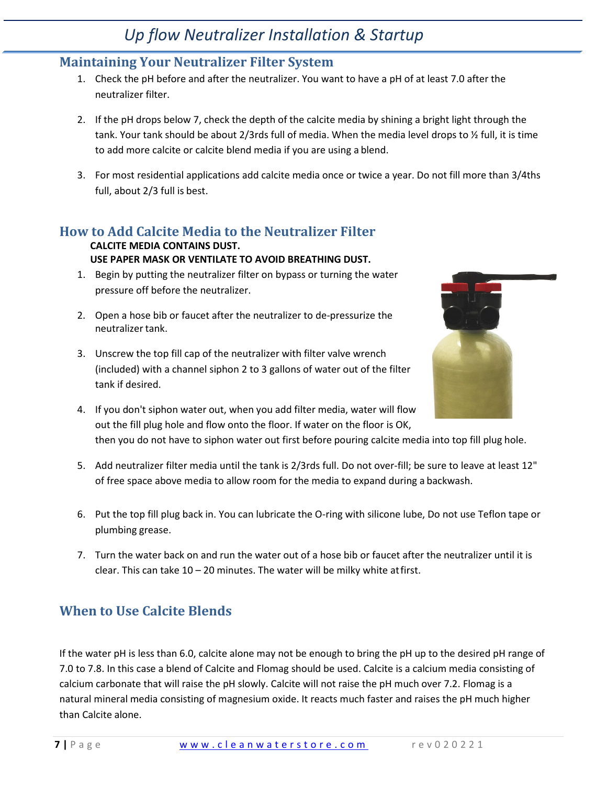# *Up flow Neutralizer Installation & Startup*

## <span id="page-6-0"></span>**Maintaining Your Neutralizer Filter System**

- 1. Check the pH before and after the neutralizer. You want to have a pH of at least 7.0 after the neutralizer filter.
- 2. If the pH drops below 7, check the depth of the calcite media by shining a bright light through the tank. Your tank should be about 2/3rds full of media. When the media level drops to ½ full, it is time to add more calcite or calcite blend media if you are using a blend.
- 3. For most residential applications add calcite media once or twice a year. Do not fill more than 3/4ths full, about 2/3 full is best.

## <span id="page-6-1"></span>**How to Add Calcite Media to the Neutralizer Filter**

#### **CALCITE MEDIA CONTAINS DUST. USE PAPER MASK OR VENTILATE TO AVOID BREATHING DUST.**

- 1. Begin by putting the neutralizer filter on bypass or turning the water pressure off before the neutralizer.
- 2. Open a hose bib or faucet after the neutralizer to de-pressurize the neutralizer tank.
- 3. Unscrew the top fill cap of the neutralizer with filter valve wrench (included) with a channel siphon 2 to 3 gallons of water out of the filter tank if desired.



- 4. If you don't siphon water out, when you add filter media, water will flow out the fill plug hole and flow onto the floor. If water on the floor is OK, then you do not have to siphon water out first before pouring calcite media into top fill plug hole.
- 5. Add neutralizer filter media until the tank is 2/3rds full. Do not over-fill; be sure to leave at least 12" of free space above media to allow room for the media to expand during a backwash.
- 6. Put the top fill plug back in. You can lubricate the O-ring with silicone lube, Do not use Teflon tape or plumbing grease.
- 7. Turn the water back on and run the water out of a hose bib or faucet after the neutralizer until it is clear. This can take 10 – 20 minutes. The water will be milky white atfirst.

# <span id="page-6-2"></span>**When to Use Calcite Blends**

If the water pH is less than 6.0, calcite alone may not be enough to bring the pH up to the desired pH range of 7.0 to 7.8. In this case a blend of Calcite and Flomag should be used. Calcite is a calcium media consisting of calcium carbonate that will raise the pH slowly. Calcite will not raise the pH much over 7.2. Flomag is a natural mineral media consisting of magnesium oxide. It reacts much faster and raises the pH much higher than Calcite alone.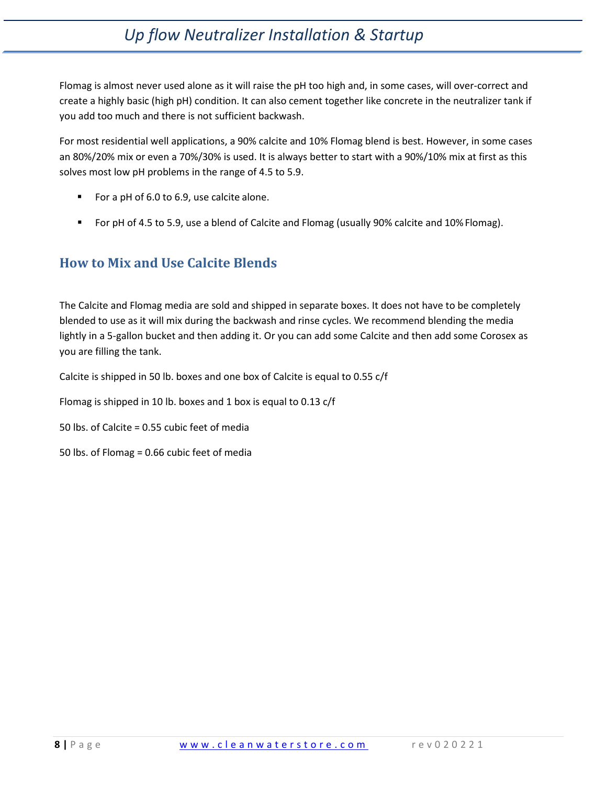# *Up flow Neutralizer Installation & Startup*

Flomag is almost never used alone as it will raise the pH too high and, in some cases, will over-correct and create a highly basic (high pH) condition. It can also cement together like concrete in the neutralizer tank if you add too much and there is not sufficient backwash.

For most residential well applications, a 90% calcite and 10% Flomag blend is best. However, in some cases an 80%/20% mix or even a 70%/30% is used. It is always better to start with a 90%/10% mix at first as this solves most low pH problems in the range of 4.5 to 5.9.

- For a pH of 6.0 to 6.9, use calcite alone.
- For pH of 4.5 to 5.9, use a blend of Calcite and Flomag (usually 90% calcite and 10% Flomag).

## <span id="page-7-0"></span>**How to Mix and Use Calcite Blends**

The Calcite and Flomag media are sold and shipped in separate boxes. It does not have to be completely blended to use as it will mix during the backwash and rinse cycles. We recommend blending the media lightly in a 5-gallon bucket and then adding it. Or you can add some Calcite and then add some Corosex as you are filling the tank.

Calcite is shipped in 50 lb. boxes and one box of Calcite is equal to 0.55 c/f

Flomag is shipped in 10 lb. boxes and 1 box is equal to 0.13 c/f

- 50 lbs. of Calcite = 0.55 cubic feet of media
- 50 lbs. of Flomag = 0.66 cubic feet of media